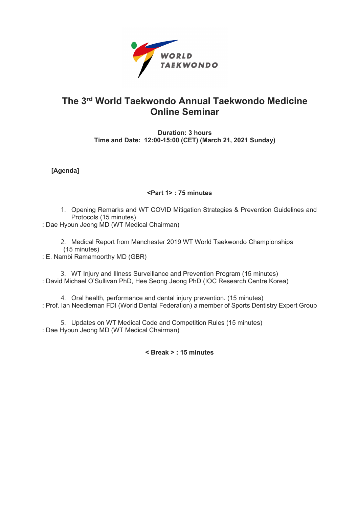

## The 3rd World Taekwondo Annual Taekwondo Medicine Online Seminar

Duration: 3 hours Time and Date: 12:00-15:00 (CET) (March 21, 2021 Sunday)

[Agenda]

## <Part 1> : 75 minutes

1. Opening Remarks and WT COVID Mitigation Strategies & Prevention Guidelines and Protocols (15 minutes)

: Dae Hyoun Jeong MD (WT Medical Chairman)

2. Medical Report from Manchester 2019 WT World Taekwondo Championships (15 minutes)

: E. Nambi Ramamoorthy MD (GBR)

3. WT Injury and Illness Surveillance and Prevention Program (15 minutes) : David Michael O'Sullivan PhD, Hee Seong Jeong PhD (IOC Research Centre Korea)

4. Oral health, performance and dental injury prevention. (15 minutes) : Prof. Ian Needleman FDI (World Dental Federation) a member of Sports Dentistry Expert Group

5. Updates on WT Medical Code and Competition Rules (15 minutes) : Dae Hyoun Jeong MD (WT Medical Chairman)

< Break > : 15 minutes